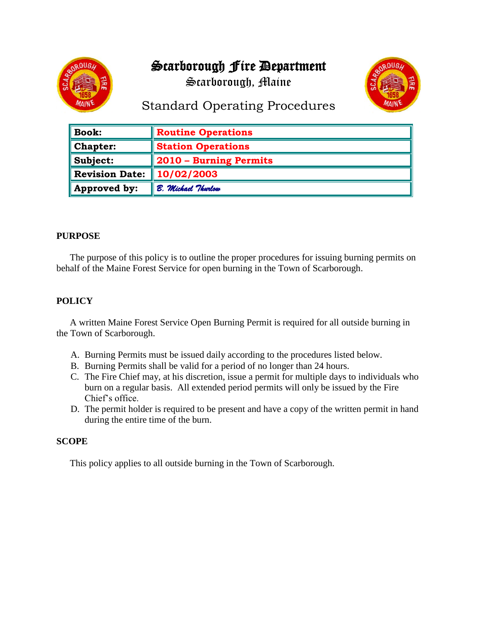# Scarborough Fire Department



Scarborough, Maine



## Standard Operating Procedures

| $\parallel$ Book:        | <b>Routine Operations</b> |
|--------------------------|---------------------------|
| $\blacksquare$ Chapter:  | <b>Station Operations</b> |
| $\blacksquare$ Subject:  | 2010 – Burning Permits    |
| Revision Date:           | 10/02/2003                |
| $\parallel$ Approved by: | B. Michael Thurlow        |

### **PURPOSE**

The purpose of this policy is to outline the proper procedures for issuing burning permits on behalf of the Maine Forest Service for open burning in the Town of Scarborough.

### **POLICY**

A written Maine Forest Service Open Burning Permit is required for all outside burning in the Town of Scarborough.

- A. Burning Permits must be issued daily according to the procedures listed below.
- B. Burning Permits shall be valid for a period of no longer than 24 hours.
- C. The Fire Chief may, at his discretion, issue a permit for multiple days to individuals who burn on a regular basis. All extended period permits will only be issued by the Fire Chief's office.
- D. The permit holder is required to be present and have a copy of the written permit in hand during the entire time of the burn.

#### **SCOPE**

This policy applies to all outside burning in the Town of Scarborough.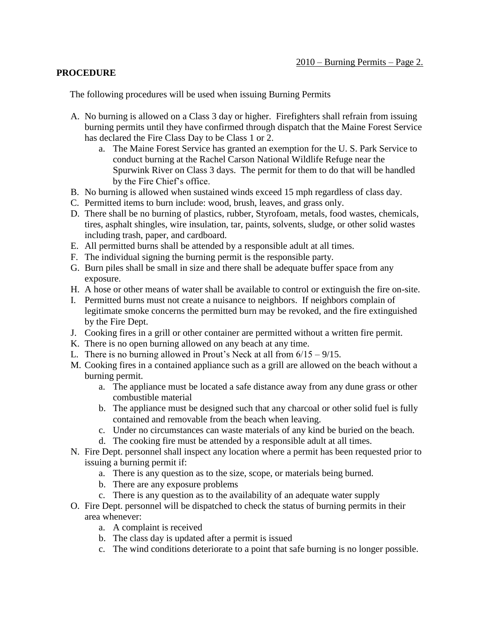#### **PROCEDURE**

The following procedures will be used when issuing Burning Permits

- A. No burning is allowed on a Class 3 day or higher. Firefighters shall refrain from issuing burning permits until they have confirmed through dispatch that the Maine Forest Service has declared the Fire Class Day to be Class 1 or 2.
	- a. The Maine Forest Service has granted an exemption for the U. S. Park Service to conduct burning at the Rachel Carson National Wildlife Refuge near the Spurwink River on Class 3 days. The permit for them to do that will be handled by the Fire Chief's office.
- B. No burning is allowed when sustained winds exceed 15 mph regardless of class day.
- C. Permitted items to burn include: wood, brush, leaves, and grass only.
- D. There shall be no burning of plastics, rubber, Styrofoam, metals, food wastes, chemicals, tires, asphalt shingles, wire insulation, tar, paints, solvents, sludge, or other solid wastes including trash, paper, and cardboard.
- E. All permitted burns shall be attended by a responsible adult at all times.
- F. The individual signing the burning permit is the responsible party.
- G. Burn piles shall be small in size and there shall be adequate buffer space from any exposure.
- H. A hose or other means of water shall be available to control or extinguish the fire on-site.
- I. Permitted burns must not create a nuisance to neighbors. If neighbors complain of legitimate smoke concerns the permitted burn may be revoked, and the fire extinguished by the Fire Dept.
- J. Cooking fires in a grill or other container are permitted without a written fire permit.
- K. There is no open burning allowed on any beach at any time.
- L. There is no burning allowed in Prout's Neck at all from  $6/15 9/15$ .
- M. Cooking fires in a contained appliance such as a grill are allowed on the beach without a burning permit.
	- a. The appliance must be located a safe distance away from any dune grass or other combustible material
	- b. The appliance must be designed such that any charcoal or other solid fuel is fully contained and removable from the beach when leaving.
	- c. Under no circumstances can waste materials of any kind be buried on the beach.
	- d. The cooking fire must be attended by a responsible adult at all times.
- N. Fire Dept. personnel shall inspect any location where a permit has been requested prior to issuing a burning permit if:
	- a. There is any question as to the size, scope, or materials being burned.
	- b. There are any exposure problems
	- c. There is any question as to the availability of an adequate water supply
- O. Fire Dept. personnel will be dispatched to check the status of burning permits in their area whenever:
	- a. A complaint is received
	- b. The class day is updated after a permit is issued
	- c. The wind conditions deteriorate to a point that safe burning is no longer possible.